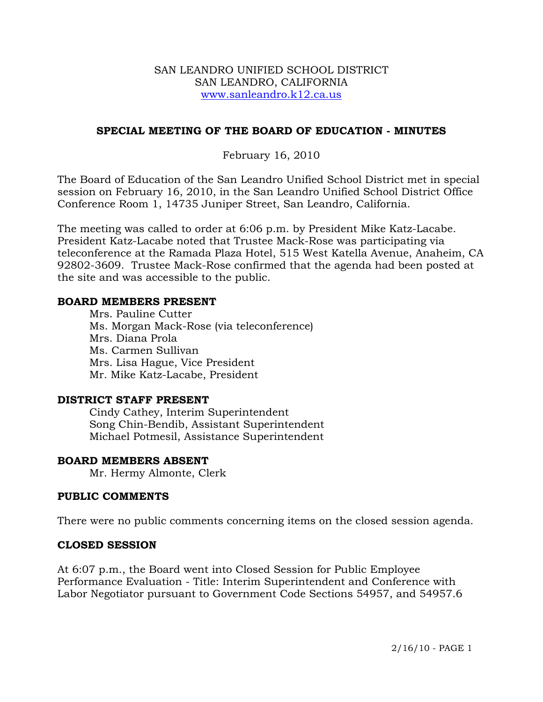#### SAN LEANDRO UNIFIED SCHOOL DISTRICT SAN LEANDRO, CALIFORNIA www.sanleandro.k12.ca.us

## **SPECIAL MEETING OF THE BOARD OF EDUCATION - MINUTES**

## February 16, 2010

The Board of Education of the San Leandro Unified School District met in special session on February 16, 2010, in the San Leandro Unified School District Office Conference Room 1, 14735 Juniper Street, San Leandro, California.

The meeting was called to order at 6:06 p.m. by President Mike Katz-Lacabe. President Katz-Lacabe noted that Trustee Mack-Rose was participating via teleconference at the Ramada Plaza Hotel, 515 West Katella Avenue, Anaheim, CA 92802-3609. Trustee Mack-Rose confirmed that the agenda had been posted at the site and was accessible to the public.

#### **BOARD MEMBERS PRESENT**

 Mrs. Pauline Cutter Ms. Morgan Mack-Rose (via teleconference) Mrs. Diana Prola Ms. Carmen Sullivan Mrs. Lisa Hague, Vice President Mr. Mike Katz-Lacabe, President

### **DISTRICT STAFF PRESENT**

Cindy Cathey, Interim Superintendent Song Chin-Bendib, Assistant Superintendent Michael Potmesil, Assistance Superintendent

#### **BOARD MEMBERS ABSENT**

Mr. Hermy Almonte, Clerk

#### **PUBLIC COMMENTS**

There were no public comments concerning items on the closed session agenda.

#### **CLOSED SESSION**

At 6:07 p.m., the Board went into Closed Session for Public Employee Performance Evaluation - Title: Interim Superintendent and Conference with Labor Negotiator pursuant to Government Code Sections 54957, and 54957.6